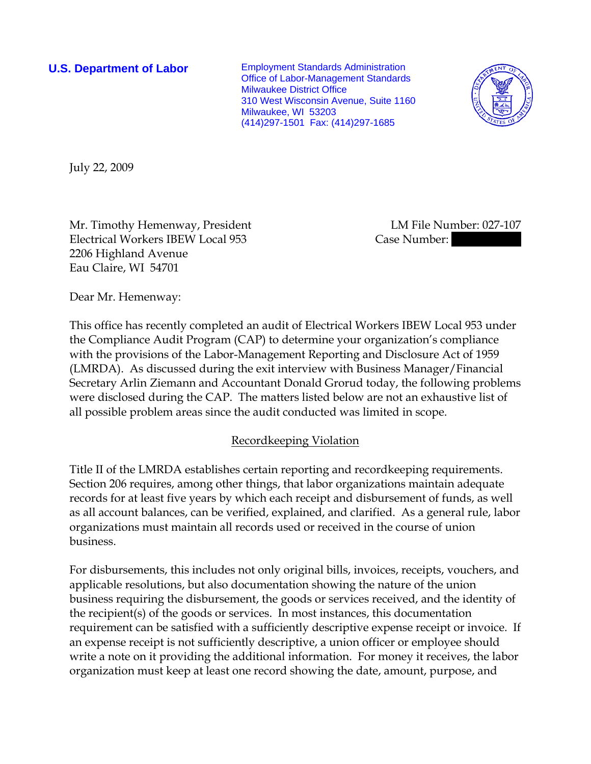**U.S. Department of Labor** Employment Standards Administration Office of Labor-Management Standards Milwaukee District Office 310 West Wisconsin Avenue, Suite 1160 Milwaukee, WI 53203 (414)297-1501 Fax: (414)297-1685



July 22, 2009

Mr. Timothy Hemenway, President LM File Number: 027-107 Electrical Workers IBEW Local 953 Case Number: 2206 Highland Avenue Eau Claire, WI 54701

Dear Mr. Hemenway:

This office has recently completed an audit of Electrical Workers IBEW Local 953 under the Compliance Audit Program (CAP) to determine your organization's compliance with the provisions of the Labor-Management Reporting and Disclosure Act of 1959 (LMRDA). As discussed during the exit interview with Business Manager/Financial Secretary Arlin Ziemann and Accountant Donald Grorud today, the following problems were disclosed during the CAP. The matters listed below are not an exhaustive list of all possible problem areas since the audit conducted was limited in scope.

# Recordkeeping Violation

Title II of the LMRDA establishes certain reporting and recordkeeping requirements. Section 206 requires, among other things, that labor organizations maintain adequate records for at least five years by which each receipt and disbursement of funds, as well as all account balances, can be verified, explained, and clarified. As a general rule, labor organizations must maintain all records used or received in the course of union business.

For disbursements, this includes not only original bills, invoices, receipts, vouchers, and applicable resolutions, but also documentation showing the nature of the union business requiring the disbursement, the goods or services received, and the identity of the recipient(s) of the goods or services. In most instances, this documentation requirement can be satisfied with a sufficiently descriptive expense receipt or invoice. If an expense receipt is not sufficiently descriptive, a union officer or employee should write a note on it providing the additional information. For money it receives, the labor organization must keep at least one record showing the date, amount, purpose, and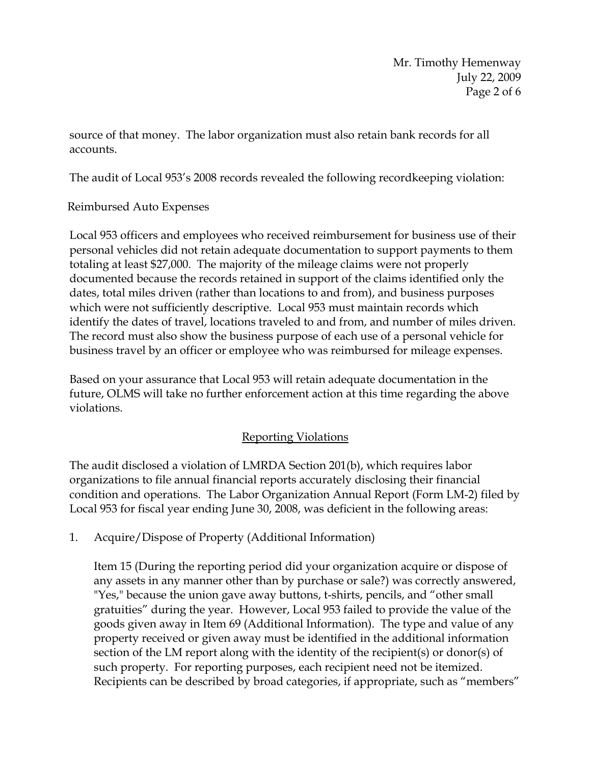Mr. Timothy Hemenway July 22, 2009 Page 2 of 6

source of that money. The labor organization must also retain bank records for all accounts.

The audit of Local 953's 2008 records revealed the following recordkeeping violation:

# Reimbursed Auto Expenses

Local 953 officers and employees who received reimbursement for business use of their personal vehicles did not retain adequate documentation to support payments to them totaling at least \$27,000. The majority of the mileage claims were not properly documented because the records retained in support of the claims identified only the dates, total miles driven (rather than locations to and from), and business purposes which were not sufficiently descriptive. Local 953 must maintain records which identify the dates of travel, locations traveled to and from, and number of miles driven. The record must also show the business purpose of each use of a personal vehicle for business travel by an officer or employee who was reimbursed for mileage expenses.

Based on your assurance that Local 953 will retain adequate documentation in the future, OLMS will take no further enforcement action at this time regarding the above violations.

# Reporting Violations

The audit disclosed a violation of LMRDA Section 201(b), which requires labor organizations to file annual financial reports accurately disclosing their financial condition and operations. The Labor Organization Annual Report (Form LM-2) filed by Local 953 for fiscal year ending June 30, 2008, was deficient in the following areas:

1. Acquire/Dispose of Property (Additional Information)

Item 15 (During the reporting period did your organization acquire or dispose of any assets in any manner other than by purchase or sale?) was correctly answered, "Yes," because the union gave away buttons, t-shirts, pencils, and "other small gratuities" during the year. However, Local 953 failed to provide the value of the goods given away in Item 69 (Additional Information). The type and value of any property received or given away must be identified in the additional information section of the LM report along with the identity of the recipient(s) or donor(s) of such property. For reporting purposes, each recipient need not be itemized. Recipients can be described by broad categories, if appropriate, such as "members"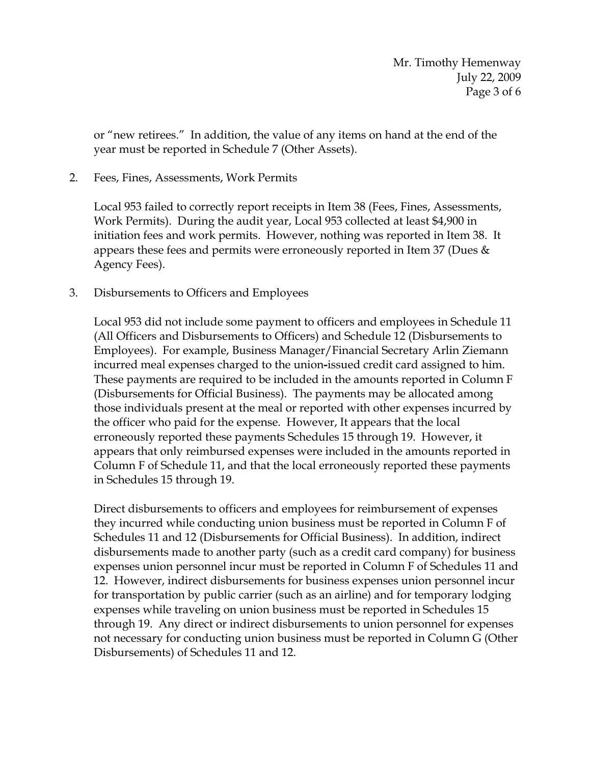or "new retirees." In addition, the value of any items on hand at the end of the year must be reported in Schedule 7 (Other Assets).

2. Fees, Fines, Assessments, Work Permits

Local 953 failed to correctly report receipts in Item 38 (Fees, Fines, Assessments, Work Permits). During the audit year, Local 953 collected at least \$4,900 in initiation fees and work permits. However, nothing was reported in Item 38. It appears these fees and permits were erroneously reported in Item 37 (Dues  $\&$ Agency Fees).

3. Disbursements to Officers and Employees

Local 953 did not include some payment to officers and employees in Schedule 11 (All Officers and Disbursements to Officers) and Schedule 12 (Disbursements to Employees). For example, Business Manager/Financial Secretary Arlin Ziemann incurred meal expenses charged to the union**-**issued credit card assigned to him. These payments are required to be included in the amounts reported in Column F (Disbursements for Official Business).The payments may be allocated among those individuals present at the meal or reported with other expenses incurred by the officer who paid for the expense. However, It appears that the local erroneously reported these payments Schedules 15 through 19. However, it appears that only reimbursed expenses were included in the amounts reported in Column F of Schedule 11, and that the local erroneously reported these payments in Schedules 15 through 19.

Direct disbursements to officers and employees for reimbursement of expenses they incurred while conducting union business must be reported in Column F of Schedules 11 and 12 (Disbursements for Official Business). In addition, indirect disbursements made to another party (such as a credit card company) for business expenses union personnel incur must be reported in Column F of Schedules 11 and 12. However, indirect disbursements for business expenses union personnel incur for transportation by public carrier (such as an airline) and for temporary lodging expenses while traveling on union business must be reported in Schedules 15 through 19. Any direct or indirect disbursements to union personnel for expenses not necessary for conducting union business must be reported in Column G (Other Disbursements) of Schedules 11 and 12.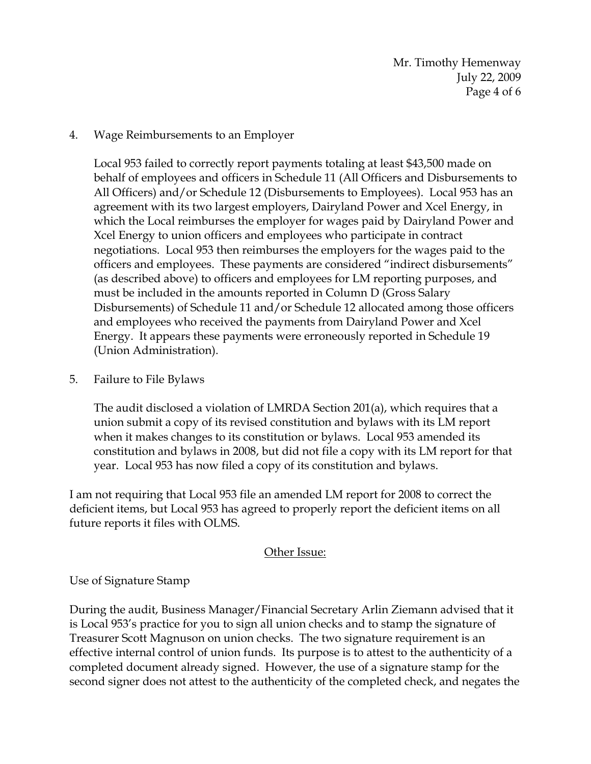Mr. Timothy Hemenway July 22, 2009 Page 4 of 6

## 4. Wage Reimbursements to an Employer

Local 953 failed to correctly report payments totaling at least \$43,500 made on behalf of employees and officers in Schedule 11 (All Officers and Disbursements to All Officers) and/or Schedule 12 (Disbursements to Employees). Local 953 has an agreement with its two largest employers, Dairyland Power and Xcel Energy, in which the Local reimburses the employer for wages paid by Dairyland Power and Xcel Energy to union officers and employees who participate in contract negotiations. Local 953 then reimburses the employers for the wages paid to the officers and employees. These payments are considered "indirect disbursements" (as described above) to officers and employees for LM reporting purposes, and must be included in the amounts reported in Column D (Gross Salary Disbursements) of Schedule 11 and/or Schedule 12 allocated among those officers and employees who received the payments from Dairyland Power and Xcel Energy. It appears these payments were erroneously reported in Schedule 19 (Union Administration).

## 5. Failure to File Bylaws

The audit disclosed a violation of LMRDA Section 201(a), which requires that a union submit a copy of its revised constitution and bylaws with its LM report when it makes changes to its constitution or bylaws. Local 953 amended its constitution and bylaws in 2008, but did not file a copy with its LM report for that year. Local 953 has now filed a copy of its constitution and bylaws.

I am not requiring that Local 953 file an amended LM report for 2008 to correct the deficient items, but Local 953 has agreed to properly report the deficient items on all future reports it files with OLMS.

### Other Issue:

### Use of Signature Stamp

During the audit, Business Manager/Financial Secretary Arlin Ziemann advised that it is Local 953's practice for you to sign all union checks and to stamp the signature of Treasurer Scott Magnuson on union checks. The two signature requirement is an effective internal control of union funds. Its purpose is to attest to the authenticity of a completed document already signed. However, the use of a signature stamp for the second signer does not attest to the authenticity of the completed check, and negates the